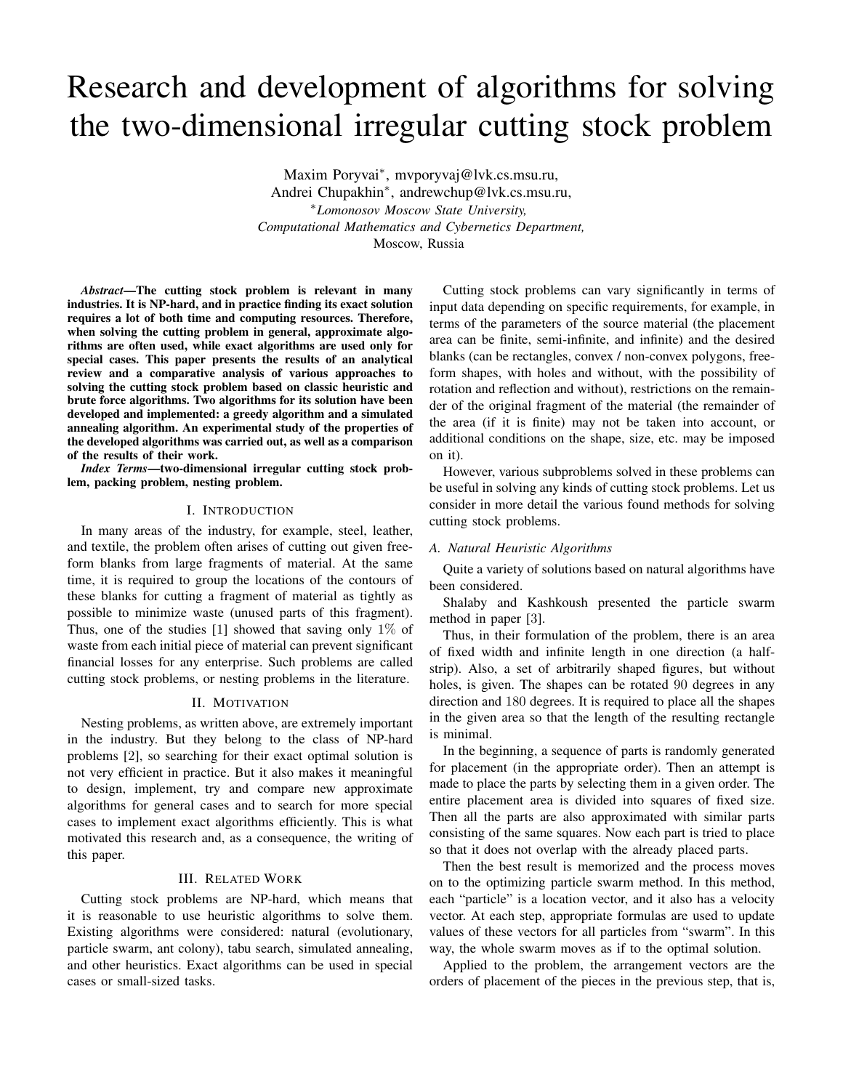# Research and development of algorithms for solving the two-dimensional irregular cutting stock problem

Maxim Poryvai<sup>∗</sup> , mvporyvaj@lvk.cs.msu.ru, Andrei Chupakhin<sup>∗</sup> , andrewchup@lvk.cs.msu.ru, <sup>∗</sup>*Lomonosov Moscow State University, Computational Mathematics and Cybernetics Department,* Moscow, Russia

*Abstract*—The cutting stock problem is relevant in many industries. It is NP-hard, and in practice finding its exact solution requires a lot of both time and computing resources. Therefore, when solving the cutting problem in general, approximate algorithms are often used, while exact algorithms are used only for special cases. This paper presents the results of an analytical review and a comparative analysis of various approaches to solving the cutting stock problem based on classic heuristic and brute force algorithms. Two algorithms for its solution have been developed and implemented: a greedy algorithm and a simulated annealing algorithm. An experimental study of the properties of the developed algorithms was carried out, as well as a comparison of the results of their work.

*Index Terms*—two-dimensional irregular cutting stock problem, packing problem, nesting problem.

## I. INTRODUCTION

In many areas of the industry, for example, steel, leather, and textile, the problem often arises of cutting out given freeform blanks from large fragments of material. At the same time, it is required to group the locations of the contours of these blanks for cutting a fragment of material as tightly as possible to minimize waste (unused parts of this fragment). Thus, one of the studies [1] showed that saving only  $1\%$  of waste from each initial piece of material can prevent significant financial losses for any enterprise. Such problems are called cutting stock problems, or nesting problems in the literature.

## II. MOTIVATION

Nesting problems, as written above, are extremely important in the industry. But they belong to the class of NP-hard problems [2], so searching for their exact optimal solution is not very efficient in practice. But it also makes it meaningful to design, implement, try and compare new approximate algorithms for general cases and to search for more special cases to implement exact algorithms efficiently. This is what motivated this research and, as a consequence, the writing of this paper.

# III. RELATED WORK

Cutting stock problems are NP-hard, which means that it is reasonable to use heuristic algorithms to solve them. Existing algorithms were considered: natural (evolutionary, particle swarm, ant colony), tabu search, simulated annealing, and other heuristics. Exact algorithms can be used in special cases or small-sized tasks.

Cutting stock problems can vary significantly in terms of input data depending on specific requirements, for example, in terms of the parameters of the source material (the placement area can be finite, semi-infinite, and infinite) and the desired blanks (can be rectangles, convex / non-convex polygons, freeform shapes, with holes and without, with the possibility of rotation and reflection and without), restrictions on the remainder of the original fragment of the material (the remainder of the area (if it is finite) may not be taken into account, or additional conditions on the shape, size, etc. may be imposed on it).

However, various subproblems solved in these problems can be useful in solving any kinds of cutting stock problems. Let us consider in more detail the various found methods for solving cutting stock problems.

#### *A. Natural Heuristic Algorithms*

Quite a variety of solutions based on natural algorithms have been considered.

Shalaby and Kashkoush presented the particle swarm method in paper [3].

Thus, in their formulation of the problem, there is an area of fixed width and infinite length in one direction (a halfstrip). Also, a set of arbitrarily shaped figures, but without holes, is given. The shapes can be rotated 90 degrees in any direction and 180 degrees. It is required to place all the shapes in the given area so that the length of the resulting rectangle is minimal.

In the beginning, a sequence of parts is randomly generated for placement (in the appropriate order). Then an attempt is made to place the parts by selecting them in a given order. The entire placement area is divided into squares of fixed size. Then all the parts are also approximated with similar parts consisting of the same squares. Now each part is tried to place so that it does not overlap with the already placed parts.

Then the best result is memorized and the process moves on to the optimizing particle swarm method. In this method, each "particle" is a location vector, and it also has a velocity vector. At each step, appropriate formulas are used to update values of these vectors for all particles from "swarm". In this way, the whole swarm moves as if to the optimal solution.

Applied to the problem, the arrangement vectors are the orders of placement of the pieces in the previous step, that is,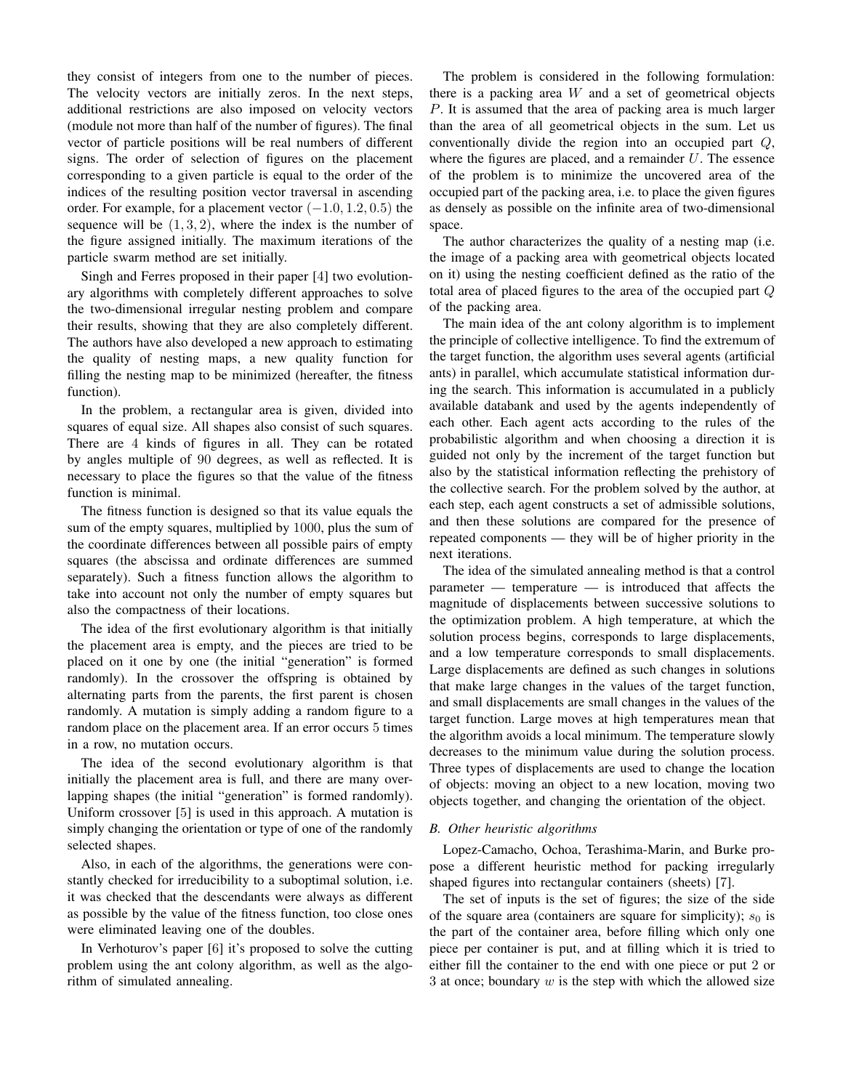they consist of integers from one to the number of pieces. The velocity vectors are initially zeros. In the next steps, additional restrictions are also imposed on velocity vectors (module not more than half of the number of figures). The final vector of particle positions will be real numbers of different signs. The order of selection of figures on the placement corresponding to a given particle is equal to the order of the indices of the resulting position vector traversal in ascending order. For example, for a placement vector  $(-1.0, 1.2, 0.5)$  the sequence will be  $(1, 3, 2)$ , where the index is the number of the figure assigned initially. The maximum iterations of the particle swarm method are set initially.

Singh and Ferres proposed in their paper [4] two evolutionary algorithms with completely different approaches to solve the two-dimensional irregular nesting problem and compare their results, showing that they are also completely different. The authors have also developed a new approach to estimating the quality of nesting maps, a new quality function for filling the nesting map to be minimized (hereafter, the fitness function).

In the problem, a rectangular area is given, divided into squares of equal size. All shapes also consist of such squares. There are 4 kinds of figures in all. They can be rotated by angles multiple of 90 degrees, as well as reflected. It is necessary to place the figures so that the value of the fitness function is minimal.

The fitness function is designed so that its value equals the sum of the empty squares, multiplied by 1000, plus the sum of the coordinate differences between all possible pairs of empty squares (the abscissa and ordinate differences are summed separately). Such a fitness function allows the algorithm to take into account not only the number of empty squares but also the compactness of their locations.

The idea of the first evolutionary algorithm is that initially the placement area is empty, and the pieces are tried to be placed on it one by one (the initial "generation" is formed randomly). In the crossover the offspring is obtained by alternating parts from the parents, the first parent is chosen randomly. A mutation is simply adding a random figure to a random place on the placement area. If an error occurs 5 times in a row, no mutation occurs.

The idea of the second evolutionary algorithm is that initially the placement area is full, and there are many overlapping shapes (the initial "generation" is formed randomly). Uniform crossover [5] is used in this approach. A mutation is simply changing the orientation or type of one of the randomly selected shapes.

Also, in each of the algorithms, the generations were constantly checked for irreducibility to a suboptimal solution, i.e. it was checked that the descendants were always as different as possible by the value of the fitness function, too close ones were eliminated leaving one of the doubles.

In Verhoturov's paper [6] it's proposed to solve the cutting problem using the ant colony algorithm, as well as the algorithm of simulated annealing.

The problem is considered in the following formulation: there is a packing area  $W$  and a set of geometrical objects P. It is assumed that the area of packing area is much larger than the area of all geometrical objects in the sum. Let us conventionally divide the region into an occupied part Q, where the figures are placed, and a remainder  $U$ . The essence of the problem is to minimize the uncovered area of the occupied part of the packing area, i.e. to place the given figures as densely as possible on the infinite area of two-dimensional space.

The author characterizes the quality of a nesting map (i.e. the image of a packing area with geometrical objects located on it) using the nesting coefficient defined as the ratio of the total area of placed figures to the area of the occupied part Q of the packing area.

The main idea of the ant colony algorithm is to implement the principle of collective intelligence. To find the extremum of the target function, the algorithm uses several agents (artificial ants) in parallel, which accumulate statistical information during the search. This information is accumulated in a publicly available databank and used by the agents independently of each other. Each agent acts according to the rules of the probabilistic algorithm and when choosing a direction it is guided not only by the increment of the target function but also by the statistical information reflecting the prehistory of the collective search. For the problem solved by the author, at each step, each agent constructs a set of admissible solutions, and then these solutions are compared for the presence of repeated components — they will be of higher priority in the next iterations.

The idea of the simulated annealing method is that a control parameter — temperature — is introduced that affects the magnitude of displacements between successive solutions to the optimization problem. A high temperature, at which the solution process begins, corresponds to large displacements, and a low temperature corresponds to small displacements. Large displacements are defined as such changes in solutions that make large changes in the values of the target function, and small displacements are small changes in the values of the target function. Large moves at high temperatures mean that the algorithm avoids a local minimum. The temperature slowly decreases to the minimum value during the solution process. Three types of displacements are used to change the location of objects: moving an object to a new location, moving two objects together, and changing the orientation of the object.

## *B. Other heuristic algorithms*

Lopez-Camacho, Ochoa, Terashima-Marin, and Burke propose a different heuristic method for packing irregularly shaped figures into rectangular containers (sheets) [7].

The set of inputs is the set of figures; the size of the side of the square area (containers are square for simplicity);  $s_0$  is the part of the container area, before filling which only one piece per container is put, and at filling which it is tried to either fill the container to the end with one piece or put 2 or 3 at once; boundary  $w$  is the step with which the allowed size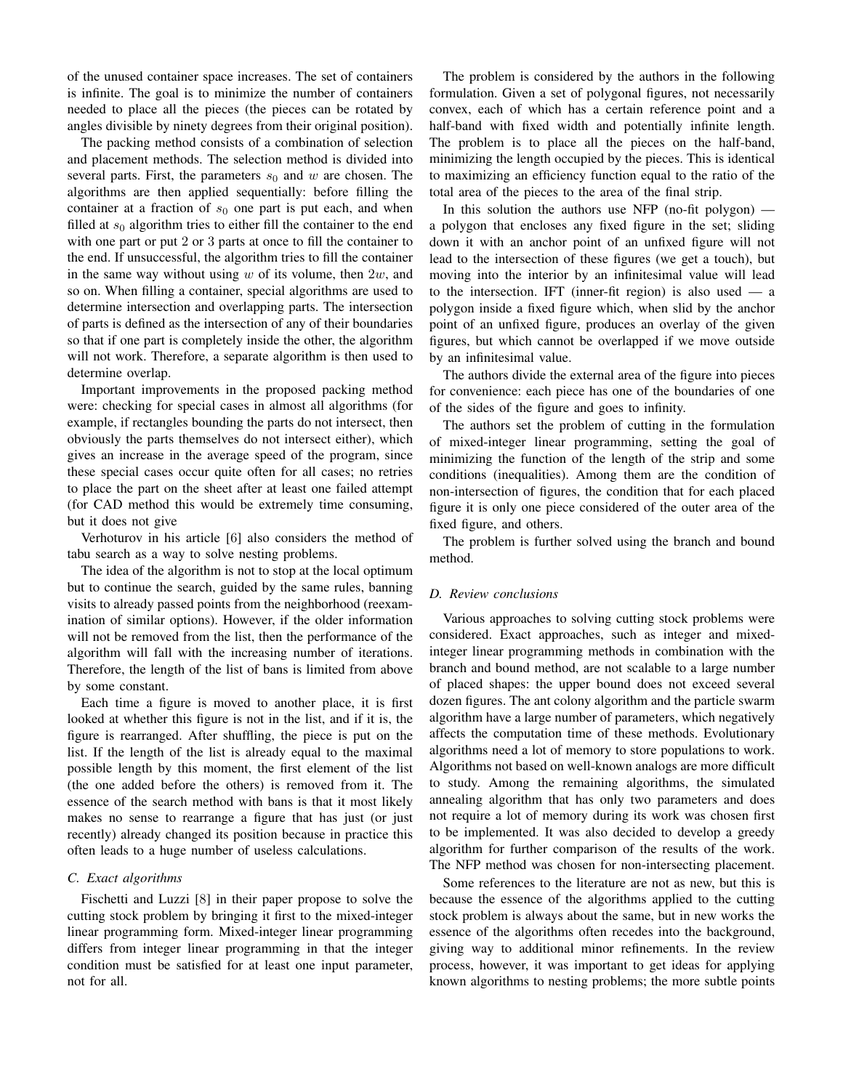of the unused container space increases. The set of containers is infinite. The goal is to minimize the number of containers needed to place all the pieces (the pieces can be rotated by angles divisible by ninety degrees from their original position).

The packing method consists of a combination of selection and placement methods. The selection method is divided into several parts. First, the parameters  $s_0$  and w are chosen. The algorithms are then applied sequentially: before filling the container at a fraction of  $s_0$  one part is put each, and when filled at  $s_0$  algorithm tries to either fill the container to the end with one part or put 2 or 3 parts at once to fill the container to the end. If unsuccessful, the algorithm tries to fill the container in the same way without using  $w$  of its volume, then  $2w$ , and so on. When filling a container, special algorithms are used to determine intersection and overlapping parts. The intersection of parts is defined as the intersection of any of their boundaries so that if one part is completely inside the other, the algorithm will not work. Therefore, a separate algorithm is then used to determine overlap.

Important improvements in the proposed packing method were: checking for special cases in almost all algorithms (for example, if rectangles bounding the parts do not intersect, then obviously the parts themselves do not intersect either), which gives an increase in the average speed of the program, since these special cases occur quite often for all cases; no retries to place the part on the sheet after at least one failed attempt (for CAD method this would be extremely time consuming, but it does not give

Verhoturov in his article [6] also considers the method of tabu search as a way to solve nesting problems.

The idea of the algorithm is not to stop at the local optimum but to continue the search, guided by the same rules, banning visits to already passed points from the neighborhood (reexamination of similar options). However, if the older information will not be removed from the list, then the performance of the algorithm will fall with the increasing number of iterations. Therefore, the length of the list of bans is limited from above by some constant.

Each time a figure is moved to another place, it is first looked at whether this figure is not in the list, and if it is, the figure is rearranged. After shuffling, the piece is put on the list. If the length of the list is already equal to the maximal possible length by this moment, the first element of the list (the one added before the others) is removed from it. The essence of the search method with bans is that it most likely makes no sense to rearrange a figure that has just (or just recently) already changed its position because in practice this often leads to a huge number of useless calculations.

# *C. Exact algorithms*

Fischetti and Luzzi [8] in their paper propose to solve the cutting stock problem by bringing it first to the mixed-integer linear programming form. Mixed-integer linear programming differs from integer linear programming in that the integer condition must be satisfied for at least one input parameter, not for all.

The problem is considered by the authors in the following formulation. Given a set of polygonal figures, not necessarily convex, each of which has a certain reference point and a half-band with fixed width and potentially infinite length. The problem is to place all the pieces on the half-band, minimizing the length occupied by the pieces. This is identical to maximizing an efficiency function equal to the ratio of the total area of the pieces to the area of the final strip.

In this solution the authors use NFP (no-fit polygon) a polygon that encloses any fixed figure in the set; sliding down it with an anchor point of an unfixed figure will not lead to the intersection of these figures (we get a touch), but moving into the interior by an infinitesimal value will lead to the intersection. IFT (inner-fit region) is also used — a polygon inside a fixed figure which, when slid by the anchor point of an unfixed figure, produces an overlay of the given figures, but which cannot be overlapped if we move outside by an infinitesimal value.

The authors divide the external area of the figure into pieces for convenience: each piece has one of the boundaries of one of the sides of the figure and goes to infinity.

The authors set the problem of cutting in the formulation of mixed-integer linear programming, setting the goal of minimizing the function of the length of the strip and some conditions (inequalities). Among them are the condition of non-intersection of figures, the condition that for each placed figure it is only one piece considered of the outer area of the fixed figure, and others.

The problem is further solved using the branch and bound method.

#### *D. Review conclusions*

Various approaches to solving cutting stock problems were considered. Exact approaches, such as integer and mixedinteger linear programming methods in combination with the branch and bound method, are not scalable to a large number of placed shapes: the upper bound does not exceed several dozen figures. The ant colony algorithm and the particle swarm algorithm have a large number of parameters, which negatively affects the computation time of these methods. Evolutionary algorithms need a lot of memory to store populations to work. Algorithms not based on well-known analogs are more difficult to study. Among the remaining algorithms, the simulated annealing algorithm that has only two parameters and does not require a lot of memory during its work was chosen first to be implemented. It was also decided to develop a greedy algorithm for further comparison of the results of the work. The NFP method was chosen for non-intersecting placement.

Some references to the literature are not as new, but this is because the essence of the algorithms applied to the cutting stock problem is always about the same, but in new works the essence of the algorithms often recedes into the background, giving way to additional minor refinements. In the review process, however, it was important to get ideas for applying known algorithms to nesting problems; the more subtle points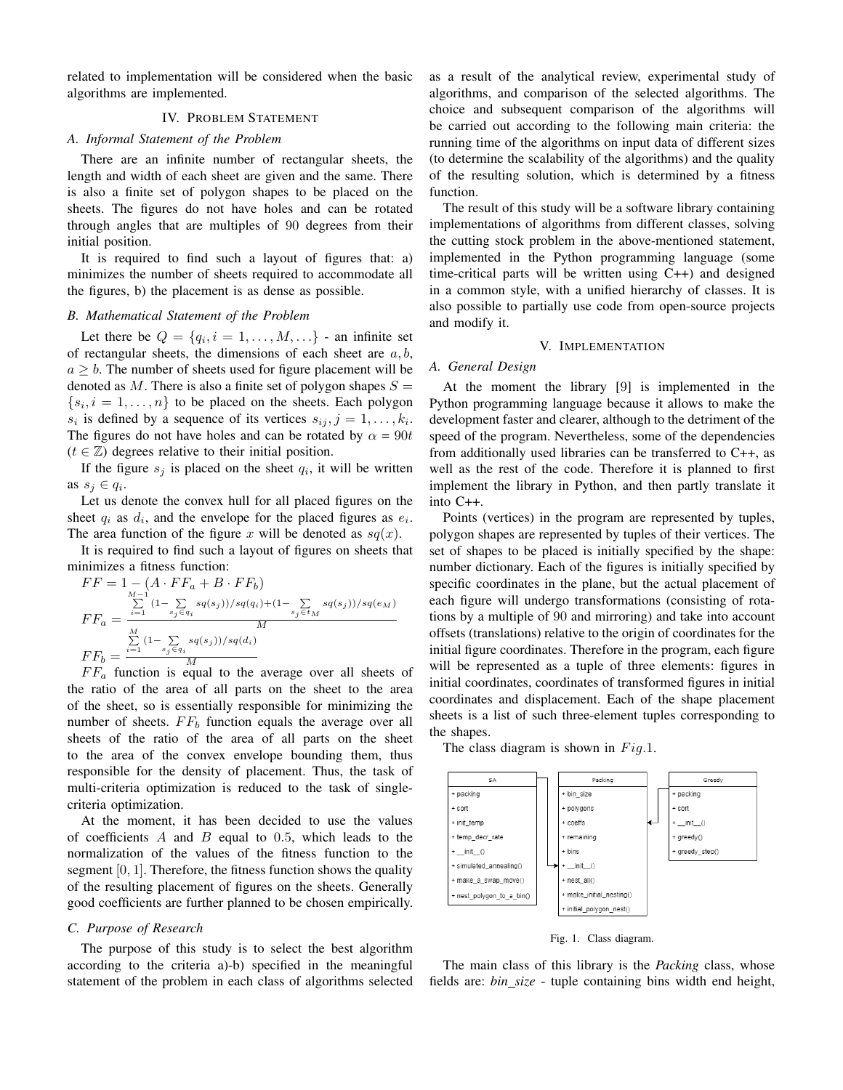related to implementation will be considered when the basic algorithms are implemented.

## IV. PROBLEM STATEMENT

## *A. Informal Statement of the Problem*

There are an infinite number of rectangular sheets, the length and width of each sheet are given and the same. There is also a finite set of polygon shapes to be placed on the sheets. The figures do not have holes and can be rotated through angles that are multiples of 90 degrees from their initial position.

It is required to find such a layout of figures that: a) minimizes the number of sheets required to accommodate all the figures, b) the placement is as dense as possible.

#### *B. Mathematical Statement of the Problem*

Let there be  $Q = \{q_i, i = 1, \dots, M, \dots\}$  - an infinite set of rectangular sheets, the dimensions of each sheet are  $a, b$ ,  $a \geq b$ . The number of sheets used for figure placement will be denoted as M. There is also a finite set of polygon shapes  $S =$  $\{s_i, i = 1, \ldots, n\}$  to be placed on the sheets. Each polygon  $s_i$  is defined by a sequence of its vertices  $s_{ij}, j = 1, \ldots, k_i$ . The figures do not have holes and can be rotated by  $\alpha = 90t$  $(t \in \mathbb{Z})$  degrees relative to their initial position.

If the figure  $s_j$  is placed on the sheet  $q_i$ , it will be written as  $s_j \in q_i$ .

Let us denote the convex hull for all placed figures on the sheet  $q_i$  as  $d_i$ , and the envelope for the placed figures as  $e_i$ . The area function of the figure x will be denoted as  $sq(x)$ .

It is required to find such a layout of figures on sheets that minimizes a fitness function:

$$
FF = 1 - (A \cdot FF_a + B \cdot FF_b)
$$
  
\n
$$
FF_a = \frac{\sum_{i=1}^{M-1} (1 - \sum_{s_j \in q_i} s q(s_j))/s q(q_i) + (1 - \sum_{s_j \in t_M} s q(s_j))/s q(e_M)}{M}
$$
  
\n
$$
FF_b = \frac{\sum_{i=1}^{M} (1 - \sum_{s_j \in q_i} s q(s_j))/s q(d_i)}{M}
$$

 $F F_a$  function is equal to the average over all sheets of the ratio of the area of all parts on the sheet to the area of the sheet, so is essentially responsible for minimizing the number of sheets.  $FF<sub>b</sub>$  function equals the average over all sheets of the ratio of the area of all parts on the sheet to the area of the convex envelope bounding them, thus responsible for the density of placement. Thus, the task of multi-criteria optimization is reduced to the task of singlecriteria optimization.

At the moment, it has been decided to use the values of coefficients  $A$  and  $B$  equal to 0.5, which leads to the normalization of the values of the fitness function to the segment  $[0, 1]$ . Therefore, the fitness function shows the quality of the resulting placement of figures on the sheets. Generally good coefficients are further planned to be chosen empirically.

#### *C. Purpose of Research*

The purpose of this study is to select the best algorithm according to the criteria a)-b) specified in the meaningful statement of the problem in each class of algorithms selected as a result of the analytical review, experimental study of algorithms, and comparison of the selected algorithms. The choice and subsequent comparison of the algorithms will be carried out according to the following main criteria: the running time of the algorithms on input data of different sizes (to determine the scalability of the algorithms) and the quality of the resulting solution, which is determined by a fitness function.

The result of this study will be a software library containing implementations of algorithms from different classes, solving the cutting stock problem in the above-mentioned statement, implemented in the Python programming language (some time-critical parts will be written using C++) and designed in a common style, with a unified hierarchy of classes. It is also possible to partially use code from open-source projects and modify it.

### V. IMPLEMENTATION

#### *A. General Design*

At the moment the library [9] is implemented in the Python programming language because it allows to make the development faster and clearer, although to the detriment of the speed of the program. Nevertheless, some of the dependencies from additionally used libraries can be transferred to C++, as well as the rest of the code. Therefore it is planned to first implement the library in Python, and then partly translate it into C++.

Points (vertices) in the program are represented by tuples, polygon shapes are represented by tuples of their vertices. The set of shapes to be placed is initially specified by the shape: number dictionary. Each of the figures is initially specified by specific coordinates in the plane, but the actual placement of each figure will undergo transformations (consisting of rotations by a multiple of 90 and mirroring) and take into account offsets (translations) relative to the origin of coordinates for the initial figure coordinates. Therefore in the program, each figure will be represented as a tuple of three elements: figures in initial coordinates, coordinates of transformed figures in initial coordinates and displacement. Each of the shape placement sheets is a list of such three-element tuples corresponding to the shapes.

The class diagram is shown in  $Fig.1$ .



Fig. 1. Class diagram.

The main class of this library is the *Packing* class, whose fields are: *bin size* - tuple containing bins width end height,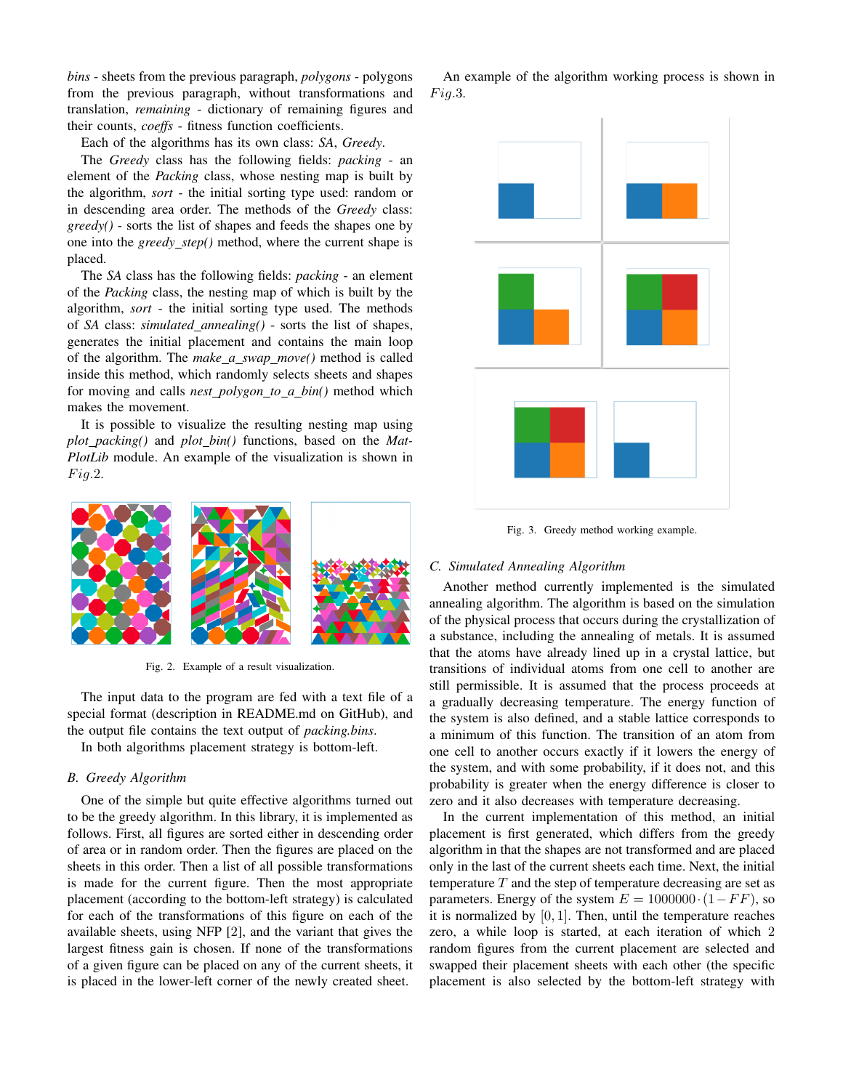*bins* - sheets from the previous paragraph, *polygons* - polygons from the previous paragraph, without transformations and translation, *remaining* - dictionary of remaining figures and their counts, *coeffs* - fitness function coefficients.

Each of the algorithms has its own class: *SA*, *Greedy*.

The *Greedy* class has the following fields: *packing* - an element of the *Packing* class, whose nesting map is built by the algorithm, *sort* - the initial sorting type used: random or in descending area order. The methods of the *Greedy* class: *greedy()* - sorts the list of shapes and feeds the shapes one by one into the *greedy step()* method, where the current shape is placed.

The *SA* class has the following fields: *packing* - an element of the *Packing* class, the nesting map of which is built by the algorithm, *sort* - the initial sorting type used. The methods of *SA* class: *simulated annealing()* - sorts the list of shapes, generates the initial placement and contains the main loop of the algorithm. The *make a swap move()* method is called inside this method, which randomly selects sheets and shapes for moving and calls *nest polygon to a bin()* method which makes the movement.

It is possible to visualize the resulting nesting map using *plot packing()* and *plot bin()* functions, based on the *Mat-PlotLib* module. An example of the visualization is shown in  $Fig. 2.$ 



Fig. 2. Example of a result visualization.

The input data to the program are fed with a text file of a special format (description in README.md on GitHub), and the output file contains the text output of *packing.bins*.

In both algorithms placement strategy is bottom-left.

# *B. Greedy Algorithm*

One of the simple but quite effective algorithms turned out to be the greedy algorithm. In this library, it is implemented as follows. First, all figures are sorted either in descending order of area or in random order. Then the figures are placed on the sheets in this order. Then a list of all possible transformations is made for the current figure. Then the most appropriate placement (according to the bottom-left strategy) is calculated for each of the transformations of this figure on each of the available sheets, using NFP [2], and the variant that gives the largest fitness gain is chosen. If none of the transformations of a given figure can be placed on any of the current sheets, it is placed in the lower-left corner of the newly created sheet.

An example of the algorithm working process is shown in  $Fig.3.$ 



Fig. 3. Greedy method working example.

# *C. Simulated Annealing Algorithm*

Another method currently implemented is the simulated annealing algorithm. The algorithm is based on the simulation of the physical process that occurs during the crystallization of a substance, including the annealing of metals. It is assumed that the atoms have already lined up in a crystal lattice, but transitions of individual atoms from one cell to another are still permissible. It is assumed that the process proceeds at a gradually decreasing temperature. The energy function of the system is also defined, and a stable lattice corresponds to a minimum of this function. The transition of an atom from one cell to another occurs exactly if it lowers the energy of the system, and with some probability, if it does not, and this probability is greater when the energy difference is closer to zero and it also decreases with temperature decreasing.

In the current implementation of this method, an initial placement is first generated, which differs from the greedy algorithm in that the shapes are not transformed and are placed only in the last of the current sheets each time. Next, the initial temperature  $T$  and the step of temperature decreasing are set as parameters. Energy of the system  $E = 1000000 \cdot (1 - FF)$ , so it is normalized by  $[0, 1]$ . Then, until the temperature reaches zero, a while loop is started, at each iteration of which 2 random figures from the current placement are selected and swapped their placement sheets with each other (the specific placement is also selected by the bottom-left strategy with